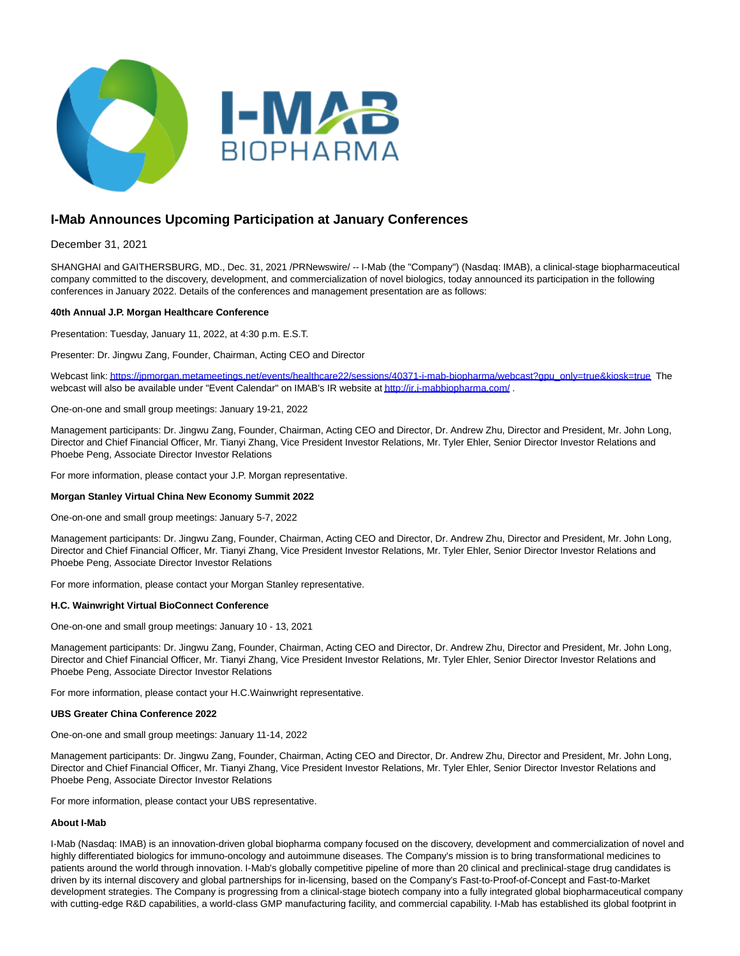

# **I-Mab Announces Upcoming Participation at January Conferences**

# December 31, 2021

SHANGHAI and GAITHERSBURG, MD., Dec. 31, 2021 /PRNewswire/ -- I-Mab (the "Company") (Nasdaq: IMAB), a clinical-stage biopharmaceutical company committed to the discovery, development, and commercialization of novel biologics, today announced its participation in the following conferences in January 2022. Details of the conferences and management presentation are as follows:

## **40th Annual J.P. Morgan Healthcare Conference**

Presentation: Tuesday, January 11, 2022, at 4:30 p.m. E.S.T.

Presenter: Dr. Jingwu Zang, Founder, Chairman, Acting CEO and Director

Webcast link[: https://jpmorgan.metameetings.net/events/healthcare22/sessions/40371-i-mab-biopharma/webcast?gpu\\_only=true&kiosk=true](https://jpmorgan.metameetings.net/events/healthcare22/sessions/40371-i-mab-biopharma/webcast?gpu_only=true&kiosk=true) The webcast will also be available under "Event Calendar" on IMAB's IR website a[t http://ir.i-mabbiopharma.com/ .](http://ir.i-mabbiopharma.com/)

One-on-one and small group meetings: January 19-21, 2022

Management participants: Dr. Jingwu Zang, Founder, Chairman, Acting CEO and Director, Dr. Andrew Zhu, Director and President, Mr. John Long, Director and Chief Financial Officer, Mr. Tianyi Zhang, Vice President Investor Relations, Mr. Tyler Ehler, Senior Director Investor Relations and Phoebe Peng, Associate Director Investor Relations

For more information, please contact your J.P. Morgan representative.

#### **Morgan Stanley Virtual China New Economy Summit 2022**

One-on-one and small group meetings: January 5-7, 2022

Management participants: Dr. Jingwu Zang, Founder, Chairman, Acting CEO and Director, Dr. Andrew Zhu, Director and President, Mr. John Long, Director and Chief Financial Officer, Mr. Tianyi Zhang, Vice President Investor Relations, Mr. Tyler Ehler, Senior Director Investor Relations and Phoebe Peng, Associate Director Investor Relations

For more information, please contact your Morgan Stanley representative.

#### **H.C. Wainwright Virtual BioConnect Conference**

One-on-one and small group meetings: January 10 - 13, 2021

Management participants: Dr. Jingwu Zang, Founder, Chairman, Acting CEO and Director, Dr. Andrew Zhu, Director and President, Mr. John Long, Director and Chief Financial Officer, Mr. Tianyi Zhang, Vice President Investor Relations, Mr. Tyler Ehler, Senior Director Investor Relations and Phoebe Peng, Associate Director Investor Relations

For more information, please contact your H.C.Wainwright representative.

#### **UBS Greater China Conference 2022**

One-on-one and small group meetings: January 11-14, 2022

Management participants: Dr. Jingwu Zang, Founder, Chairman, Acting CEO and Director, Dr. Andrew Zhu, Director and President, Mr. John Long, Director and Chief Financial Officer, Mr. Tianyi Zhang, Vice President Investor Relations, Mr. Tyler Ehler, Senior Director Investor Relations and Phoebe Peng, Associate Director Investor Relations

For more information, please contact your UBS representative.

## **About I-Mab**

I-Mab (Nasdaq: IMAB) is an innovation-driven global biopharma company focused on the discovery, development and commercialization of novel and highly differentiated biologics for immuno-oncology and autoimmune diseases. The Company's mission is to bring transformational medicines to patients around the world through innovation. I-Mab's globally competitive pipeline of more than 20 clinical and preclinical-stage drug candidates is driven by its internal discovery and global partnerships for in-licensing, based on the Company's Fast-to-Proof-of-Concept and Fast-to-Market development strategies. The Company is progressing from a clinical-stage biotech company into a fully integrated global biopharmaceutical company with cutting-edge R&D capabilities, a world-class GMP manufacturing facility, and commercial capability. I-Mab has established its global footprint in